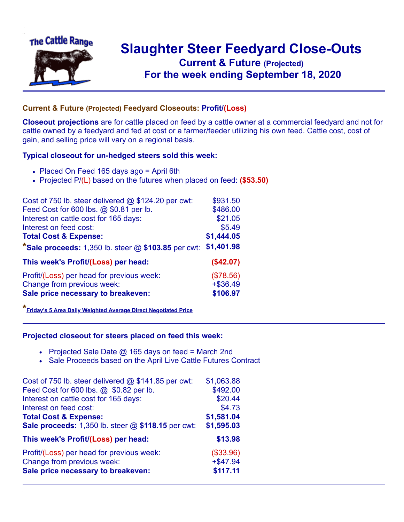

## **Slaughter Steer Feedyard Close-Outs Current & Future (Projected)** .**For the week ending September 18, 2020**

## **Current & Future (Projected) Feedyard Closeouts: Profit/(Loss)**

**Closeout projections** are for cattle placed on feed by a cattle owner at a commercial feedyard and not for cattle owned by a feedyard and fed at cost or a farmer/feeder utilizing his own feed. Cattle cost, cost of gain, and selling price will vary on a regional basis.

## **Typical closeout for un-hedged steers sold this week:**

- Placed On Feed 165 days ago = April 6th
- Projected P/(L) based on the futures when placed on feed: **(\$53.50)**

| Cost of 750 lb. steer delivered @ \$124.20 per cwt:     | \$931.50    |
|---------------------------------------------------------|-------------|
| Feed Cost for 600 lbs. @ \$0.81 per lb.                 | \$486.00    |
| Interest on cattle cost for 165 days:                   | \$21.05     |
| Interest on feed cost:                                  | \$5.49      |
| <b>Total Cost &amp; Expense:</b>                        | \$1,444.05  |
| *Sale proceeds: $1,350$ lb. steer $@$ \$103.85 per cwt: | \$1,401.98  |
| This week's Profit/(Loss) per head:                     | (\$42.07)   |
| Profit/(Loss) per head for previous week:               | (\$78.56)   |
| Change from previous week:                              | $+$ \$36.49 |
| Sale price necessary to breakeven:                      | \$106.97    |

**\*[Friday's 5 Area Daily Weighted Average Direct Negotiated Price](https://www.ams.usda.gov/mnreports/ams_2466.pdf)**

## **Projected closeout for steers placed on feed this week:**

- Projected Sale Date  $@$  165 days on feed = March 2nd
- Sale Proceeds based on the April Live Cattle Futures Contract

| Cost of 750 lb. steer delivered @ \$141.85 per cwt: | \$1,063.88  |
|-----------------------------------------------------|-------------|
| Feed Cost for 600 lbs. @ \$0.82 per lb.             | \$492.00    |
| Interest on cattle cost for 165 days:               | \$20.44     |
| Interest on feed cost:                              | \$4.73      |
| <b>Total Cost &amp; Expense:</b>                    | \$1,581.04  |
| Sale proceeds: 1,350 lb. steer @ \$118.15 per cwt:  | \$1,595.03  |
| This week's Profit/(Loss) per head:                 | \$13.98     |
| Profit/(Loss) per head for previous week:           | (\$33.96)   |
| Change from previous week:                          | $+$ \$47.94 |
| Sale price necessary to breakeven:                  | \$117.11    |